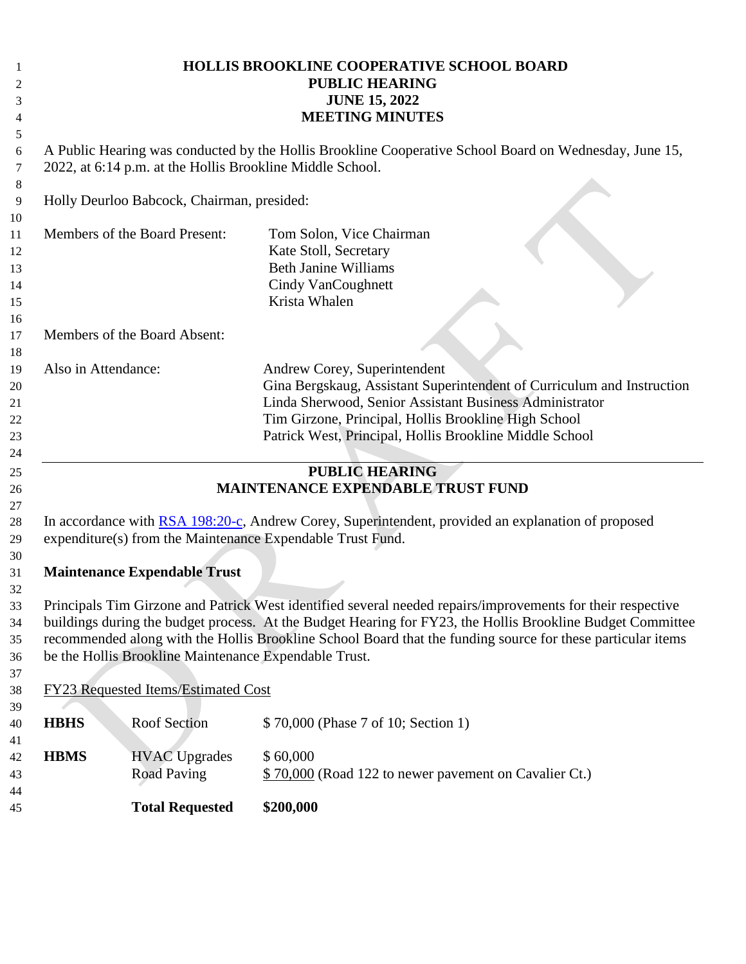| 1<br>$\mathfrak{2}$<br>3<br>$\overline{4}$ |                     |                                                       | <b>HOLLIS BROOKLINE COOPERATIVE SCHOOL BOARD</b><br><b>PUBLIC HEARING</b><br><b>JUNE 15, 2022</b><br><b>MEETING MINUTES</b>                                                                                                                                                                                                              |
|--------------------------------------------|---------------------|-------------------------------------------------------|------------------------------------------------------------------------------------------------------------------------------------------------------------------------------------------------------------------------------------------------------------------------------------------------------------------------------------------|
| 5<br>6<br>7<br>8                           |                     |                                                       | A Public Hearing was conducted by the Hollis Brookline Cooperative School Board on Wednesday, June 15,<br>2022, at 6:14 p.m. at the Hollis Brookline Middle School.                                                                                                                                                                      |
| 9<br>10                                    |                     | Holly Deurloo Babcock, Chairman, presided:            |                                                                                                                                                                                                                                                                                                                                          |
| 11<br>12<br>13<br>14<br>15<br>16           |                     | Members of the Board Present:                         | Tom Solon, Vice Chairman<br>Kate Stoll, Secretary<br><b>Beth Janine Williams</b><br>Cindy VanCoughnett<br>Krista Whalen                                                                                                                                                                                                                  |
| 17                                         |                     | Members of the Board Absent:                          |                                                                                                                                                                                                                                                                                                                                          |
| 18<br>19<br>20<br>21<br>22<br>23<br>24     | Also in Attendance: |                                                       | Andrew Corey, Superintendent<br>Gina Bergskaug, Assistant Superintendent of Curriculum and Instruction<br>Linda Sherwood, Senior Assistant Business Administrator<br>Tim Girzone, Principal, Hollis Brookline High School<br>Patrick West, Principal, Hollis Brookline Middle School                                                     |
| 25<br>26<br>27                             |                     |                                                       | <b>PUBLIC HEARING</b><br><b>MAINTENANCE EXPENDABLE TRUST FUND</b>                                                                                                                                                                                                                                                                        |
| 28<br>29                                   |                     |                                                       | In accordance with RSA 198:20-c, Andrew Corey, Superintendent, provided an explanation of proposed<br>expenditure(s) from the Maintenance Expendable Trust Fund.                                                                                                                                                                         |
| 30<br>31<br>32                             |                     | <b>Maintenance Expendable Trust</b>                   |                                                                                                                                                                                                                                                                                                                                          |
| 33<br>34<br>35<br>36                       |                     | be the Hollis Brookline Maintenance Expendable Trust. | Principals Tim Girzone and Patrick West identified several needed repairs/improvements for their respective<br>buildings during the budget process. At the Budget Hearing for FY23, the Hollis Brookline Budget Committee<br>recommended along with the Hollis Brookline School Board that the funding source for these particular items |
| 37<br>38                                   |                     | FY23 Requested Items/Estimated Cost                   |                                                                                                                                                                                                                                                                                                                                          |
| 39<br>40                                   | <b>HBHS</b>         | Roof Section                                          | \$70,000 (Phase 7 of 10; Section 1)                                                                                                                                                                                                                                                                                                      |
| 41<br>42<br>43                             | <b>HBMS</b>         | <b>HVAC Upgrades</b><br><b>Road Paving</b>            | \$60,000<br>\$70,000 (Road 122 to newer pavement on Cavalier Ct.)                                                                                                                                                                                                                                                                        |
| 44<br>45                                   |                     | <b>Total Requested</b>                                | \$200,000                                                                                                                                                                                                                                                                                                                                |